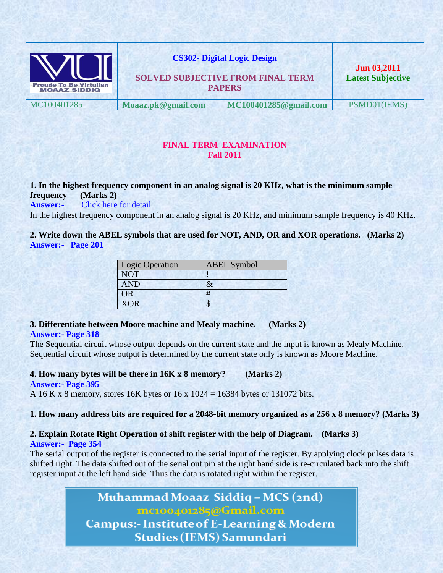

**CS302- Digital Logic Design** 

**SOLVED SUBJECTIVE FROM FINAL TERM PAPERS**

**Jun 03,2011 Latest Subjective**

MC100401285 **Moaaz.pk@gmail.com MC100401285@gmail.com** PSMD01(IEMS)

#### **FINAL TERM EXAMINATION Fall 2011**

### **1. In the highest frequency component in an analog signal is 20 KHz, what is the minimum sample frequency (Marks 2)**

**Answer:-** [Click here for detail](http://en.wikipedia.org/wiki/Sampling_rate)

In the highest frequency component in an analog signal is 20 KHz, and minimum sample frequency is 40 KHz.

**2. Write down the ABEL symbols that are used for NOT, AND, OR and XOR operations. (Marks 2) Answer:- Page 201**

| Logic Operation | <b>ABEL</b> Symbol |
|-----------------|--------------------|
| <b>NOT</b>      |                    |
| <b>AND</b>      |                    |
| ЭR              | #                  |
| <b>XOR</b>      |                    |

#### **3. Differentiate between Moore machine and Mealy machine. (Marks 2) Answer:- Page 318**

The Sequential circuit whose output depends on the current state and the input is known as Mealy Machine. Sequential circuit whose output is determined by the current state only is known as Moore Machine.

**4. How many bytes will be there in 16K x 8 memory? (Marks 2) Answer:- Page 395**

A 16 K x 8 memory, stores 16K bytes or 16 x 1024 = 16384 bytes or 131072 bits.

**1. How many address bits are required for a 2048-bit memory organized as a 256 x 8 memory? (Marks 3)**

# **2. Explain Rotate Right Operation of shift register with the help of Diagram. (Marks 3)**

**Answer:- Page 354**

The serial output of the register is connected to the serial input of the register. By applying clock pulses data is shifted right. The data shifted out of the serial out pin at the right hand side is re-circulated back into the shift register input at the left hand side. Thus the data is rotated right within the register.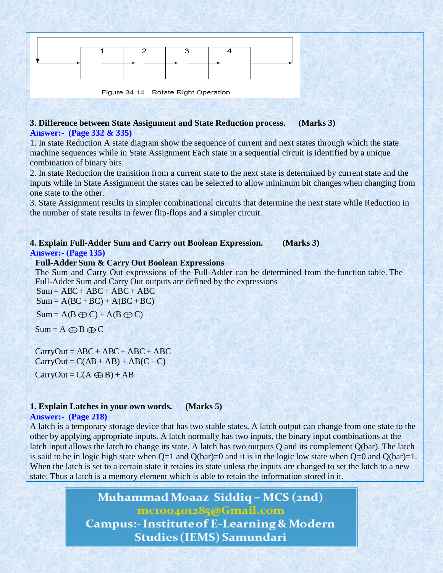Figure 34.14 Rotate Right Operation

#### **3. Difference between State Assignment and State Reduction process. (Marks 3) Answer:- (Page 332 & 335)**

1. In state Reduction A state diagram show the sequence of current and next states through which the state machine sequences while in State Assignment Each state in a sequential circuit is identified by a unique combination of binary bits.

2. In state Reduction the transition from a current state to the next state is determined by current state and the inputs while in State Assignment the states can be selected to allow minimum bit changes when changing from one state to the other.

3. State Assignment results in simpler combinational circuits that determine the next state while Reduction in the number of state results in fewer flip-flops and a simpler circuit.

#### **4. Explain Full-Adder Sum and Carry out Boolean Expression. (Marks 3) Answer:- (Page 135)**

#### **Full-Adder Sum & Carry Out Boolean Expressions**

The Sum and Carry Out expressions of the Full-Adder can be determined from the function table. The Full-Adder Sum and Carry Out outputs are defined by the expressions

 $Sum = ABC + ABC + ABC + ABC + ABC$  $Sum = A(BC + BC) + A(BC + BC)$ 

 $Sum = A(B \oplus C) + A(B \oplus C)$ 

 $Sum = A \oplus B \oplus C$ 

 $CarryOut = ABC + ABC + ABC + ABC + ABC$  $CarryOut = C(AB + AB) + AB(C+C)$ 

 $CarryOut = C(A \bigoplus B) + AB$ 

### **1. Explain Latches in your own words. (Marks 5)**

#### **Answer:- (Page 218)**

A latch is a temporary storage device that has two stable states. A latch output can change from one state to the other by applying appropriate inputs. A latch normally has two inputs, the binary input combinations at the latch input allows the latch to change its state. A latch has two outputs Q and its complement Q(bar). The latch is said to be in logic high state when  $Q=1$  and  $Q(bar)=0$  and it is in the logic low state when  $Q=0$  and  $Q(bar)=1$ . When the latch is set to a certain state it retains its state unless the inputs are changed to set the latch to a new state. Thus a latch is a memory element which is able to retain the information stored in it.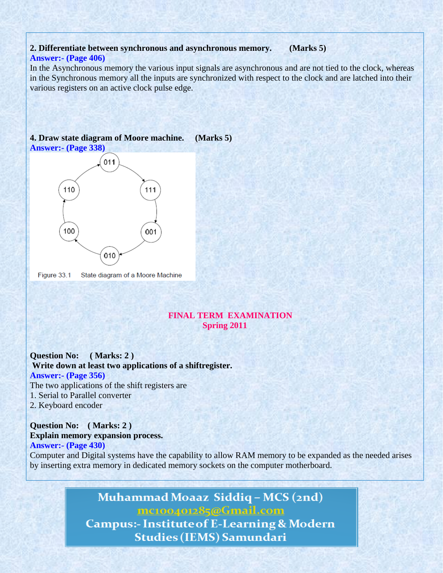#### **2. Differentiate between synchronous and asynchronous memory. (Marks 5) Answer:- (Page 406)**

In the Asynchronous memory the various input signals are asynchronous and are not tied to the clock, whereas in the Synchronous memory all the inputs are synchronized with respect to the clock and are latched into their various registers on an active clock pulse edge.

#### **4. Draw state diagram of Moore machine. (Marks 5) Answer:- (Page 338)**



Figure 33.1 State diagram of a Moore Machine

#### **FINAL TERM EXAMINATION Spring 2011**

**Question No: ( Marks: 2 ) Write down at least two applications of a shiftregister. Answer:- (Page 356)** The two applications of the shift registers are 1. Serial to Parallel converter 2. Keyboard encoder

#### **Question No: ( Marks: 2 ) Explain memory expansion process. Answer:- (Page 430)**

Computer and Digital systems have the capability to allow RAM memory to be expanded as the needed arises by inserting extra memory in dedicated memory sockets on the computer motherboard.

# Muhammad Moaaz Siddiq - MCS (2nd) mc100401285@Gmail.com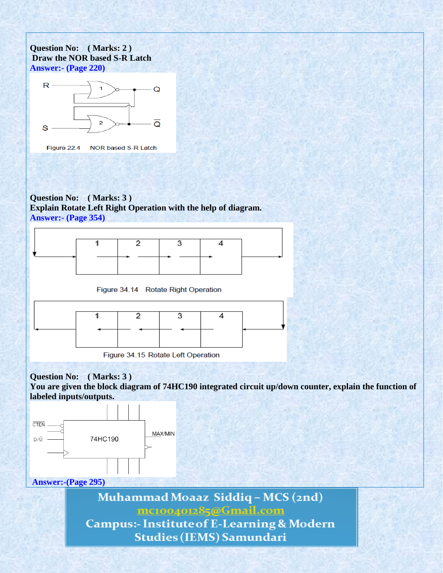**Question No: ( Marks: 2 ) Draw the NOR based S-R Latch Answer:- (Page 220)**



Figure 22.4 NOR based S-R Latch

**Question No: ( Marks: 3 ) Explain Rotate Left Right Operation with the help of diagram. Answer:- (Page 354)**



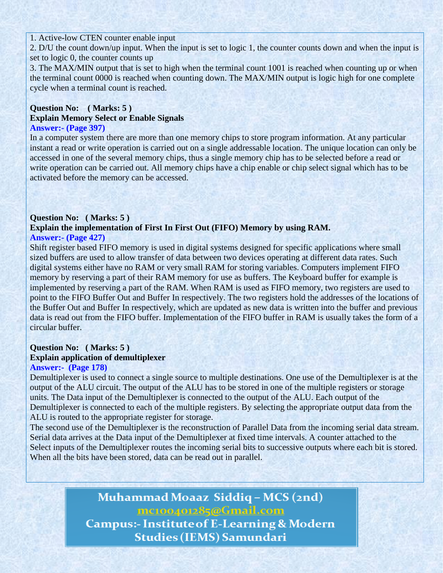1. Active-low CTEN counter enable input

2. D/U the count down/up input. When the input is set to logic 1, the counter counts down and when the input is set to logic 0, the counter counts up

3. The MAX/MIN output that is set to high when the terminal count 1001 is reached when counting up or when the terminal count 0000 is reached when counting down. The MAX/MIN output is logic high for one complete cycle when a terminal count is reached.

### **Question No: ( Marks: 5 ) Explain Memory Select or Enable Signals**

#### **Answer:- (Page 397)**

In a computer system there are more than one memory chips to store program information. At any particular instant a read or write operation is carried out on a single addressable location. The unique location can only be accessed in one of the several memory chips, thus a single memory chip has to be selected before a read or write operation can be carried out. All memory chips have a chip enable or chip select signal which has to be activated before the memory can be accessed.

### **Question No: ( Marks: 5 )**

#### **Explain the implementation of First In First Out (FIFO) Memory by using RAM. Answer:- (Page 427)**

Shift register based FIFO memory is used in digital systems designed for specific applications where small sized buffers are used to allow transfer of data between two devices operating at different data rates. Such digital systems either have no RAM or very small RAM for storing variables. Computers implement FIFO memory by reserving a part of their RAM memory for use as buffers. The Keyboard buffer for example is implemented by reserving a part of the RAM. When RAM is used as FIFO memory, two registers are used to point to the FIFO Buffer Out and Buffer In respectively. The two registers hold the addresses of the locations of the Buffer Out and Buffer In respectively, which are updated as new data is written into the buffer and previous data is read out from the FIFO buffer. Implementation of the FIFO buffer in RAM is usually takes the form of a circular buffer.

### **Question No: ( Marks: 5 ) Explain application of demultiplexer**

#### **Answer:- (Page 178)**

Demultiplexer is used to connect a single source to multiple destinations. One use of the Demultiplexer is at the output of the ALU circuit. The output of the ALU has to be stored in one of the multiple registers or storage units. The Data input of the Demultiplexer is connected to the output of the ALU. Each output of the Demultiplexer is connected to each of the multiple registers. By selecting the appropriate output data from the ALU is routed to the appropriate register for storage.

The second use of the Demultiplexer is the reconstruction of Parallel Data from the incoming serial data stream. Serial data arrives at the Data input of the Demultiplexer at fixed time intervals. A counter attached to the Select inputs of the Demultiplexer routes the incoming serial bits to successive outputs where each bit is stored. When all the bits have been stored, data can be read out in parallel.

### Muhammad Moaaz Siddiq - MCS (2nd) mc100401285@Gmail.com **Campus:- Institute of E-Learning & Modern**

**Studies (IEMS) Samundari**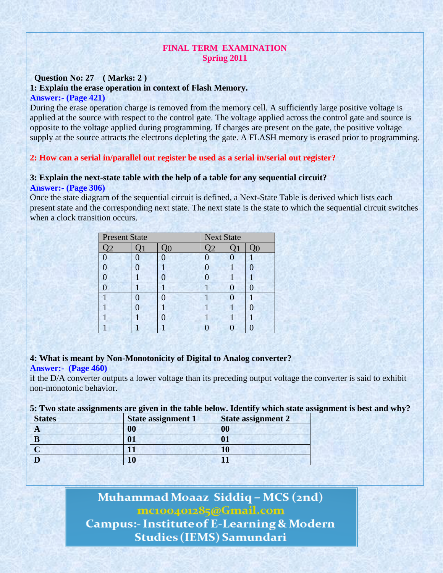#### **FINAL TERM EXAMINATION Spring 2011**

#### **Question No: 27 ( Marks: 2 ) 1: Explain the erase operation in context of Flash Memory. Answer:- (Page 421)**

During the erase operation charge is removed from the memory cell. A sufficiently large positive voltage is applied at the source with respect to the control gate. The voltage applied across the control gate and source is opposite to the voltage applied during programming. If charges are present on the gate, the positive voltage supply at the source attracts the electrons depleting the gate. A FLASH memory is erased prior to programming.

#### **2: How can a serial in/parallel out register be used as a serial in/serial out register?**

### **3: Explain the next-state table with the help of a table for any sequential circuit?**

#### **Answer:- (Page 306)**

Once the state diagram of the sequential circuit is defined, a Next-State Table is derived which lists each present state and the corresponding next state. The next state is the state to which the sequential circuit switches when a clock transition occurs.

| <b>Present State</b> |  |    | <b>Next State</b> |  |    |
|----------------------|--|----|-------------------|--|----|
| $\mathcal{Q}2$       |  | QQ | 12                |  | QQ |
| $\Omega$             |  |    |                   |  |    |
|                      |  |    |                   |  |    |
|                      |  |    |                   |  |    |
|                      |  |    |                   |  |    |
|                      |  |    |                   |  |    |
|                      |  |    |                   |  |    |
|                      |  |    |                   |  |    |
|                      |  |    |                   |  |    |

#### **4: What is meant by Non-Monotonicity of Digital to Analog converter?**

#### **Answer:- (Page 460)**

if the D/A converter outputs a lower voltage than its preceding output voltage the converter is said to exhibit non-monotonic behavior.

#### **5: Two state assignments are given in the table below. Identify which state assignment is best and why?**

| <b>States</b> | <b>State assignment 1</b> | <b>State assignment 2</b> |
|---------------|---------------------------|---------------------------|
| A             | 00                        | 00                        |
| B             | Λ1                        |                           |
|               |                           |                           |
|               |                           |                           |

### Muhammad Moaaz Siddiq - MCS (2nd) mc100401285@Gmail.com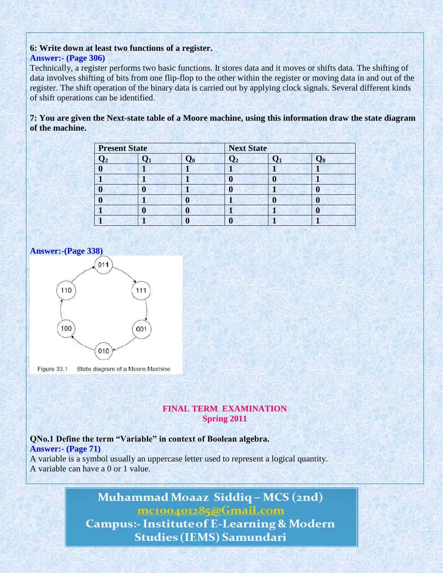#### **6: Write down at least two functions of a register. Answer:- (Page 306)**

Technically, a register performs two basic functions. It stores data and it moves or shifts data. The shifting of data involves shifting of bits from one flip-flop to the other within the register or moving data in and out of the register. The shift operation of the binary data is carried out by applying clock signals. Several different kinds of shift operations can be identified.

**7: You are given the Next-state table of a Moore machine, using this information draw the state diagram of the machine.**

| <b>Present State</b> |  | <b>Next State</b> |  |  |
|----------------------|--|-------------------|--|--|
|                      |  |                   |  |  |
|                      |  |                   |  |  |
|                      |  |                   |  |  |
|                      |  |                   |  |  |
|                      |  |                   |  |  |
|                      |  |                   |  |  |
|                      |  |                   |  |  |





Figure 33.1 State diagram of a Moore Machine

#### **FINAL TERM EXAMINATION Spring 2011**

### **QNo.1 Define the term "Variable" in context of Boolean algebra.**

**Answer:- (Page 71)**

A variable is a symbol usually an uppercase letter used to represent a logical quantity. A variable can have a 0 or 1 value.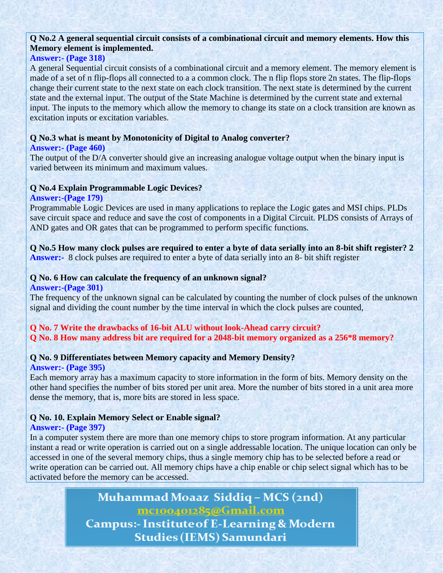#### **Q No.2 A general sequential circuit consists of a combinational circuit and memory elements. How this Memory element is implemented.**

#### **Answer:- (Page 318)**

A general Sequential circuit consists of a combinational circuit and a memory element. The memory element is made of a set of n flip-flops all connected to a a common clock. The n flip flops store 2n states. The flip-flops change their current state to the next state on each clock transition. The next state is determined by the current state and the external input. The output of the State Machine is determined by the current state and external input. The inputs to the memory which allow the memory to change its state on a clock transition are known as excitation inputs or excitation variables.

#### **Q No.3 what is meant by Monotonicity of Digital to Analog converter?**

#### **Answer:- (Page 460)**

The output of the D/A converter should give an increasing analogue voltage output when the binary input is varied between its minimum and maximum values.

#### **Q No.4 Explain Programmable Logic Devices?**

#### **Answer:-(Page 179)**

Programmable Logic Devices are used in many applications to replace the Logic gates and MSI chips. PLDs save circuit space and reduce and save the cost of components in a Digital Circuit. PLDS consists of Arrays of AND gates and OR gates that can be programmed to perform specific functions.

**Q No.5 How many clock pulses are required to enter a byte of data serially into an 8-bit shift register? 2 Answer:-** 8 clock pulses are required to enter a byte of data serially into an 8- bit shift register

### **Q No. 6 How can calculate the frequency of an unknown signal?**

#### **Answer:-(Page 301)**

The frequency of the unknown signal can be calculated by counting the number of clock pulses of the unknown signal and dividing the count number by the time interval in which the clock pulses are counted,

#### **Q No. 7 Write the drawbacks of 16-bit ALU without look-Ahead carry circuit? Q No. 8 How many address bit are required for a 2048-bit memory organized as a 256\*8 memory?**

#### **Q No. 9 Differentiates between Memory capacity and Memory Density?**

#### **Answer:- (Page 395)**

Each memory array has a maximum capacity to store information in the form of bits. Memory density on the other hand specifies the number of bits stored per unit area. More the number of bits stored in a unit area more dense the memory, that is, more bits are stored in less space.

#### **Q No. 10. Explain Memory Select or Enable signal?**

#### **Answer:- (Page 397)**

In a computer system there are more than one memory chips to store program information. At any particular instant a read or write operation is carried out on a single addressable location. The unique location can only be accessed in one of the several memory chips, thus a single memory chip has to be selected before a read or write operation can be carried out. All memory chips have a chip enable or chip select signal which has to be activated before the memory can be accessed.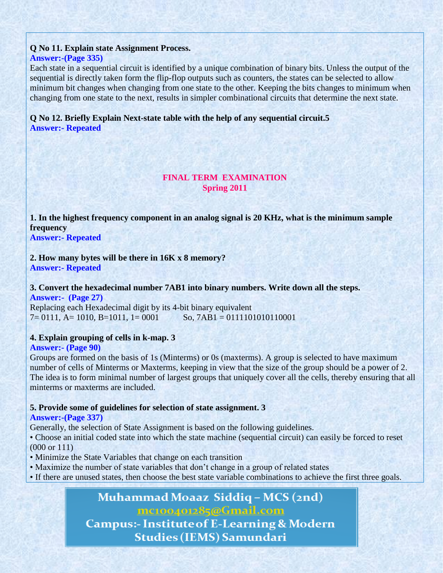#### **Q No 11. Explain state Assignment Process. Answer:-(Page 335)**

Each state in a sequential circuit is identified by a unique combination of binary bits. Unless the output of the sequential is directly taken form the flip-flop outputs such as counters, the states can be selected to allow minimum bit changes when changing from one state to the other. Keeping the bits changes to minimum when changing from one state to the next, results in simpler combinational circuits that determine the next state.

#### **Q No 12. Briefly Explain Next-state table with the help of any sequential circuit.5 Answer:- Repeated**

#### **FINAL TERM EXAMINATION Spring 2011**

**1. In the highest frequency component in an analog signal is 20 KHz, what is the minimum sample frequency**

**Answer:- Repeated**

**2. How many bytes will be there in 16K x 8 memory? Answer:- Repeated**

**3. Convert the hexadecimal number 7AB1 into binary numbers. Write down all the steps. Answer:- (Page 27)**

Replacing each Hexadecimal digit by its 4-bit binary equivalent  $7= 0111$ , A= 1010, B=1011, 1= 0001 So, 7AB1 = 0111101010110001

#### **4. Explain grouping of cells in k-map. 3**

#### **Answer:- (Page 90)**

Groups are formed on the basis of 1s (Minterms) or 0s (maxterms). A group is selected to have maximum number of cells of Minterms or Maxterms, keeping in view that the size of the group should be a power of 2. The idea is to form minimal number of largest groups that uniquely cover all the cells, thereby ensuring that all minterms or maxterms are included.

#### **5. Provide some of guidelines for selection of state assignment. 3**

#### **Answer:-(Page 337)**

Generally, the selection of State Assignment is based on the following guidelines.

• Choose an initial coded state into which the state machine (sequential circuit) can easily be forced to reset (000 or 111)

- Minimize the State Variables that change on each transition
- Maximize the number of state variables that don't change in a group of related states
- If there are unused states, then choose the best state variable combinations to achieve the first three goals.

# Muhammad Moaaz Siddig - MCS (2nd) mc100401285@Gmail.com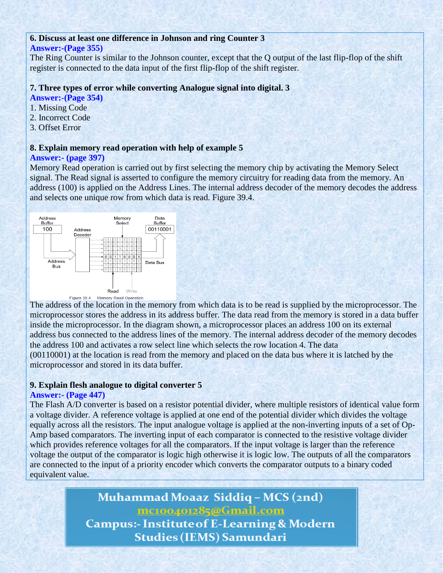#### **6. Discuss at least one difference in Johnson and ring Counter 3**

#### **Answer:-(Page 355)**

The Ring Counter is similar to the Johnson counter, except that the Q output of the last flip-flop of the shift register is connected to the data input of the first flip-flop of the shift register.

#### **7. Three types of error while converting Analogue signal into digital. 3**

- **Answer:-(Page 354)**
- 1. Missing Code
- 2. Incorrect Code
- 3. Offset Error

#### **8. Explain memory read operation with help of example 5**

#### **Answer:- (page 397)**

Memory Read operation is carried out by first selecting the memory chip by activating the Memory Select signal. The Read signal is asserted to configure the memory circuitry for reading data from the memory. An address (100) is applied on the Address Lines. The internal address decoder of the memory decodes the address and selects one unique row from which data is read. Figure 39.4.



The address of the location in the memory from which data is to be read is supplied by the microprocessor. The microprocessor stores the address in its address buffer. The data read from the memory is stored in a data buffer inside the microprocessor. In the diagram shown, a microprocessor places an address 100 on its external address bus connected to the address lines of the memory. The internal address decoder of the memory decodes the address 100 and activates a row select line which selects the row location 4. The data (00110001) at the location is read from the memory and placed on the data bus where it is latched by the microprocessor and stored in its data buffer.

#### **9. Explain flesh analogue to digital converter 5**

#### **Answer:- (Page 447)**

The Flash A/D converter is based on a resistor potential divider, where multiple resistors of identical value form a voltage divider. A reference voltage is applied at one end of the potential divider which divides the voltage equally across all the resistors. The input analogue voltage is applied at the non-inverting inputs of a set of Op-Amp based comparators. The inverting input of each comparator is connected to the resistive voltage divider which provides reference voltages for all the comparators. If the input voltage is larger than the reference voltage the output of the comparator is logic high otherwise it is logic low. The outputs of all the comparators are connected to the input of a priority encoder which converts the comparator outputs to a binary coded equivalent value.

> Muhammad Moaaz Siddiq - MCS (2nd) mc100401285@Gmail.com **Campus:- Institute of E-Learning & Modern**

> > **Studies (IEMS) Samundari**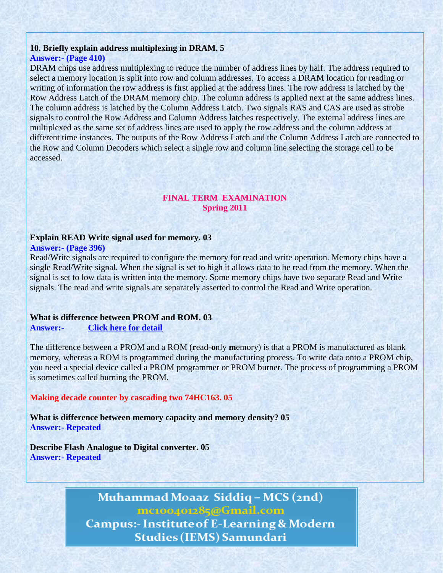#### **10. Briefly explain address multiplexing in DRAM. 5 Answer:- (Page 410)**

DRAM chips use address multiplexing to reduce the number of address lines by half. The address required to select a memory location is split into row and column addresses. To access a DRAM location for reading or writing of information the row address is first applied at the address lines. The row address is latched by the Row Address Latch of the DRAM memory chip. The column address is applied next at the same address lines. The column address is latched by the Column Address Latch. Two signals RAS and CAS are used as strobe signals to control the Row Address and Column Address latches respectively. The external address lines are multiplexed as the same set of address lines are used to apply the row address and the column address at different time instances. The outputs of the Row Address Latch and the Column Address Latch are connected to the Row and Column Decoders which select a single row and column line selecting the storage cell to be accessed.

#### **FINAL TERM EXAMINATION Spring 2011**

#### **Explain READ Write signal used for memory. 03**

#### **Answer:- (Page 396)**

Read/Write signals are required to configure the memory for read and write operation. Memory chips have a single Read/Write signal. When the signal is set to high it allows data to be read from the memory. When the signal is set to low data is written into the memory. Some memory chips have two separate Read and Write signals. The read and write signals are separately asserted to control the Read and Write operation.

#### **What is difference between PROM and ROM. 03 Answer:- [Click here for detail](http://www.webopedia.com/TERM/P/PROM.html)**

The difference between a PROM and a ROM (**r**ead-**o**nly **m**emory) is that a PROM is manufactured as blank memory, whereas a ROM is programmed during the manufacturing process. To write data onto a PROM chip, you need a special device called a PROM programmer or PROM burner. The process of programming a PROM is sometimes called burning the PROM.

#### **Making decade counter by cascading two 74HC163. 05**

**What is difference between memory capacity and memory density? 05 Answer:- Repeated**

**Describe Flash Analogue to Digital converter. 05 Answer:- Repeated**

### Muhammad Moaaz Siddiq - MCS (2nd) mc100401285@Gmail.com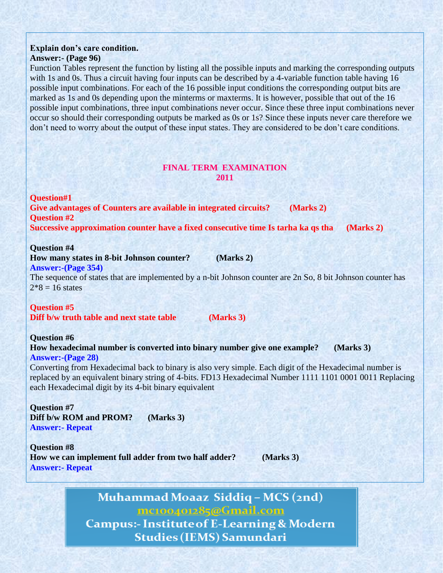#### **Explain don"s care condition. Answer:- (Page 96)**

Function Tables represent the function by listing all the possible inputs and marking the corresponding outputs with 1s and 0s. Thus a circuit having four inputs can be described by a 4-variable function table having 16 possible input combinations. For each of the 16 possible input conditions the corresponding output bits are marked as 1s and 0s depending upon the minterms or maxterms. It is however, possible that out of the 16 possible input combinations, three input combinations never occur. Since these three input combinations never occur so should their corresponding outputs be marked as 0s or 1s? Since these inputs never care therefore we don't need to worry about the output of these input states. They are considered to be don't care conditions.

#### **FINAL TERM EXAMINATION 2011**

**Question#1 Give advantages of Counters are available in integrated circuits? (Marks 2) Question #2 Successive approximation counter have a fixed consecutive time Is tarha ka qs tha (Marks 2)**

#### **Question #4**

**How many states in 8-bit Johnson counter? (Marks 2)**

#### **Answer:-(Page 354)**

The sequence of states that are implemented by a n-bit Johnson counter are 2n So, 8 bit Johnson counter has  $2*8 = 16$  states

#### **Question #5**

**Diff b/w truth table and next state table (Marks 3)**

#### **Question #6**

**How hexadecimal number is converted into binary number give one example? (Marks 3) Answer:-(Page 28)**

Converting from Hexadecimal back to binary is also very simple. Each digit of the Hexadecimal number is replaced by an equivalent binary string of 4-bits. FD13 Hexadecimal Number 1111 1101 0001 0011 Replacing each Hexadecimal digit by its 4-bit binary equivalent

**Question #7 Diff b/w ROM and PROM? (Marks 3) Answer:- Repeat**

**Question #8 How we can implement full adder from two half adder? (Marks 3) Answer:- Repeat**

### Muhammad Moaaz Siddiq - MCS (2nd) mc100401285@Gmail.com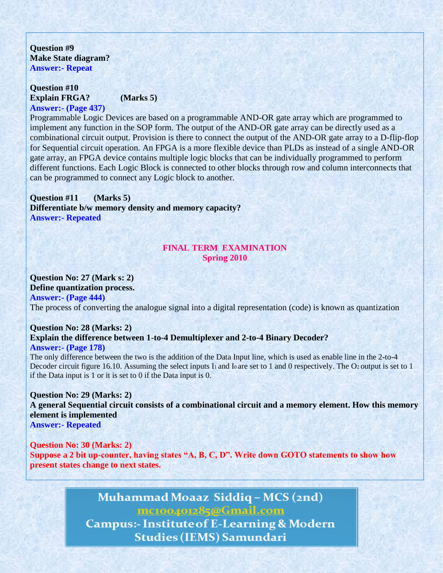**Question #9 Make State diagram? Answer:- Repeat**

**Question #10 Explain FRGA? (Marks 5) Answer:- (Page 437)**

Programmable Logic Devices are based on a programmable AND-OR gate array which are programmed to implement any function in the SOP form. The output of the AND-OR gate array can be directly used as a combinational circuit output. Provision is there to connect the output of the AND-OR gate array to a D-flip-flop for Sequential circuit operation. An FPGA is a more flexible device than PLDs as instead of a single AND-OR gate array, an FPGA device contains multiple logic blocks that can be individually programmed to perform different functions. Each Logic Block is connected to other blocks through row and column interconnects that can be programmed to connect any Logic block to another.

#### **Question #11 (Marks 5) Differentiate b/w memory density and memory capacity? Answer:- Repeated**

#### **FINAL TERM EXAMINATION Spring 2010**

#### **Question No: 27 (Mark s: 2)**

**Define quantization process. Answer:- (Page 444)** The process of converting the analogue signal into a digital representation (code) is known as quantization

### **Question No: 28 (Marks: 2) Explain the difference between 1-to-4 Demultiplexer and 2-to-4 Binary Decoder?**

#### **Answer:- (Page 178)**

The only difference between the two is the addition of the Data Input line, which is used as enable line in the 2-to-4 Decoder circuit figure 16.10. Assuming the select inputs I<sub>1</sub> and I<sub>0</sub> are set to 1 and 0 respectively. The O<sub>2</sub> output is set to 1 if the Data input is 1 or it is set to 0 if the Data input is 0.

**Question No: 29 (Marks: 2) A general Sequential circuit consists of a combinational circuit and a memory element. How this memory element is implemented Answer:- Repeated**

**Question No: 30 (Marks: 2) Suppose a 2 bit up-counter, having states "A, B, C, D". Write down GOTO statements to show how present states change to next states.**

## Muhammad Moaaz Siddiq - MCS (2nd) mc100401285@Gmail.com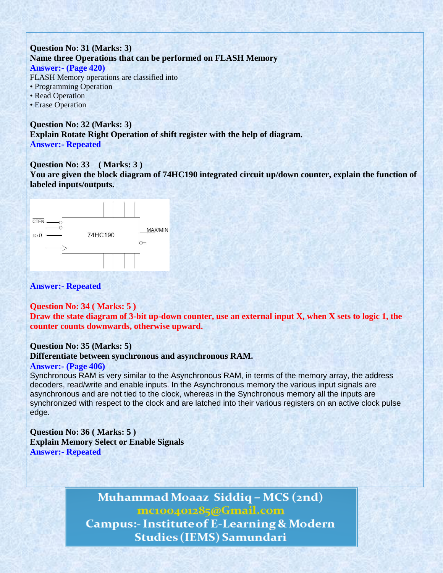#### **Question No: 31 (Marks: 3) Name three Operations that can be performed on FLASH Memory Answer:- (Page 420)**

FLASH Memory operations are classified into

- Programming Operation
- Read Operation
- Erase Operation

**Question No: 32 (Marks: 3) Explain Rotate Right Operation of shift register with the help of diagram. Answer:- Repeated**

#### **Question No: 33 ( Marks: 3 )**

**You are given the block diagram of 74HC190 integrated circuit up/down counter, explain the function of labeled inputs/outputs.**



#### **Answer:- Repeated**

#### **Question No: 34 ( Marks: 5 )**

**Draw the state diagram of 3-bit up-down counter, use an external input X, when X sets to logic 1, the counter counts downwards, otherwise upward.**

#### **Question No: 35 (Marks: 5)**

**Differentiate between synchronous and asynchronous RAM.**

#### **Answer:- (Page 406)**

Synchronous RAM is very similar to the Asynchronous RAM, in terms of the memory array, the address decoders, read/write and enable inputs. In the Asynchronous memory the various input signals are asynchronous and are not tied to the clock, whereas in the Synchronous memory all the inputs are synchronized with respect to the clock and are latched into their various registers on an active clock pulse edge.

**Question No: 36 ( Marks: 5 ) Explain Memory Select or Enable Signals Answer:- Repeated**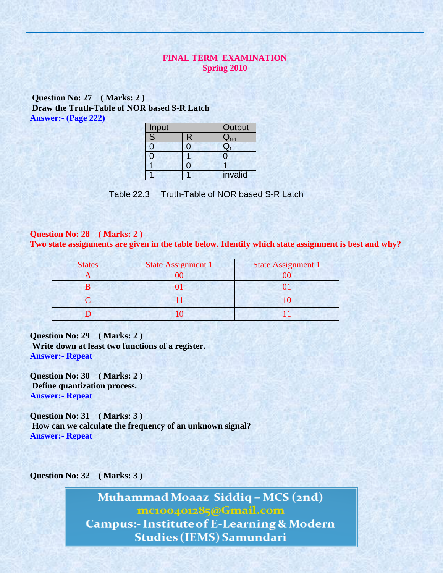#### **FINAL TERM EXAMINATION Spring 2010**

**Question No: 27 ( Marks: 2 ) Draw the Truth-Table of NOR based S-R Latch Answer:- (Page 222)**

| Input                   |              | Output    |
|-------------------------|--------------|-----------|
| $\overline{\mathsf{S}}$ | $\mathsf{R}$ | $Q_{t+1}$ |
| 0                       | ∩            |           |
|                         |              |           |
|                         |              |           |
|                         |              | invalid   |

Table 22.3 Truth-Table of NOR based S-R Latch

#### **Question No: 28 ( Marks: 2 )**

**Two state assignments are given in the table below. Identify which state assignment is best and why?**

| <b>States</b> | <b>State Assignment 1</b> | <b>State Assignment 1</b> |
|---------------|---------------------------|---------------------------|
|               |                           |                           |
|               |                           |                           |
|               |                           |                           |
|               |                           |                           |

**Question No: 29 ( Marks: 2 ) Write down at least two functions of a register. Answer:- Repeat**

**Question No: 30 ( Marks: 2 ) Define quantization process. Answer:- Repeat**

**Question No: 31 ( Marks: 3 ) How can we calculate the frequency of an unknown signal? Answer:- Repeat**

**Question No: 32 ( Marks: 3 )**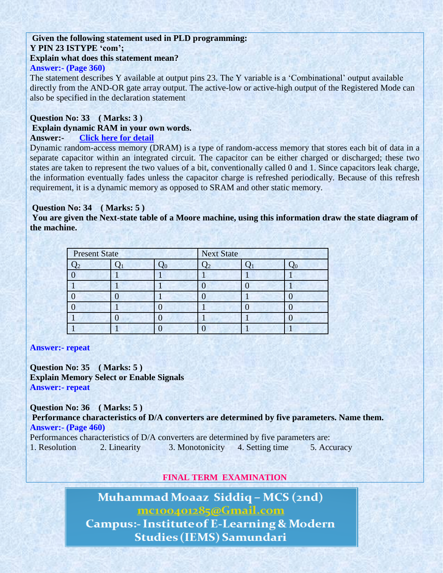#### **Given the following statement used in PLD programming: Y PIN 23 ISTYPE "com"; Explain what does this statement mean?**

#### **Answer:- (Page 360)**

The statement describes Y available at output pins 23. The Y variable is a 'Combinational' output available directly from the AND-OR gate array output. The active-low or active-high output of the Registered Mode can also be specified in the declaration statement

#### **Question No: 33 ( Marks: 3 )**

#### **Explain dynamic RAM in your own words.**

#### **Answer:- [Click](http://en.wikipedia.org/wiki/Dynamic_random-access_memory) here for detail**

Dynamic random-access memory (DRAM) is a type of random-access memory that stores each bit of data in a separate capacitor within an integrated circuit. The capacitor can be either charged or discharged; these two states are taken to represent the two values of a bit, conventionally called 0 and 1. Since capacitors leak charge, the information eventually fades unless the capacitor charge is refreshed periodically. Because of this refresh requirement, it is a dynamic memory as opposed to SRAM and other static memory.

#### **Question No: 34 ( Marks: 5 )**

You are given the Next-state table of a Moore machine, using this information draw the state diagram of **the machine.**

| <b>Present State</b> |  | <b>Next State</b> |  |  |  |
|----------------------|--|-------------------|--|--|--|
|                      |  |                   |  |  |  |
|                      |  |                   |  |  |  |
|                      |  |                   |  |  |  |
|                      |  |                   |  |  |  |
|                      |  |                   |  |  |  |
|                      |  |                   |  |  |  |
|                      |  |                   |  |  |  |

#### **Answer:- repeat**

**Question No: 35 ( Marks: 5 ) Explain Memory Select or Enable Signals Answer:- repeat**

**Question No: 36 ( Marks: 5 ) Performance characteristics of D/A converters are determined by five parameters. Name them. Answer:- (Page 460)**

Performances characteristics of D/A converters are determined by five parameters are:

1. Resolution 2. Linearity 3. Monotonicity 4. Setting time 5. Accuracy

### **FINAL TERM EXAMINATION**

Muhammad Moaaz Siddig - MCS (2nd) mc100401285@Gmail.com